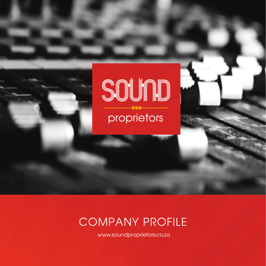

# COMPANY PROFILE

www.soundproprietors.co.za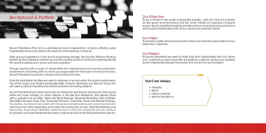Sound Proprietors (Pty) Ltd is a professional sound engineering company offering audio engineering services located in the heart of Johannesburg, Gauteng.

After years of experience in the sound engineering industry, the founder Tshiamo Mosenyi started up the business in order to tap into the exciting world of media but most importantly the sound business as an owner and sole proprietor.

Through dealing with a range of clients within the entertainment and events coordination environment and being able to create packages suited for their type of event or function, Sound Proprietors has grown in leaps and bounds over time.

Only the best studio facilities are used to rehearse or record within the studio environment. Top of the range and trusted brands like D&B, Yamaha, Behringer and Electro Voice( EV) are used by Sound Proprietors for all their events or recording sessions.

- Intergrity
- Ethics
- Client-centricity
- Service Excellence



Sound Proprietors have done some live recordings for well known names and indie bands within the music industry, i.e. Helen Dikobe, a vocalist from Botswana, Afro Breeze (Duet with a guitarist and vocalist), Sipho Hot Sticks Mabuse, Nduduzo Makathini, Africa Mkhize, Thandiswa Mazwai, Feya Faku, Amandla Freedom Ensemble, Musa and Robbie Malinga, The Muffinz, Aus Tebza( solo bassist with full band) and Matlombe events and entertainment (full band and other supporting acts under the production house), Shwi Nomtekhala and Naima Kay. These shows definitely raised the bar in which We worked at and we continue to maintain and raise this standards as we continue to excel in the live performance sector.



To be a leader in the audio engineering industry , with the main focus being on live sound re-enforcement and the niche market of corporate company events. Sound proprietors seeks to provide enhanced services and products as well as good relationships with all our clients and potential clients.

## Our Vision

To provide quality services and products that exceeds the expectations of our esteemed customers.

## **Our Mission**

At sound proprietors we seek to build long term relationships with our clients and customers as well as provide exceptional customer services by pursuing sound engineering through innovative and advanced technologies.

## **Our Core Values**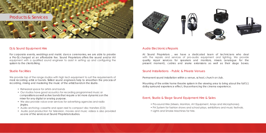



For corporate events, weddings and matric dance ceremonies, we are able to provide a Pro-Dj charged at an affordable fee. Sound Proprietors offers the sound and/or AV equipment with a qualified sound engineer to assist in setting up and configuring the system to the clients liking.

## Dj & Sound Equipment Hire

We provide top of the range studios with high tech equipment to suit the requirements of most recording artist or bands. Skilled sound engineers help to smoothen the process of recording, mixing and mastering the music of the artist/bands in the studio.

### Studio Facilities

- Rehearsal space for artists and bands
- Our studios have good acoustics for recording programmed music or compositions as well as live bands that require a lot more dynamics on the mixer for any digital or analog purpose.
- We also provide voice-over services for advertising agencies and radio jingles.
- Audio archiving; cassette and open reel to compact disc transfers (CD)
- Audio post-production for television, movies and music videos is also provided as one of the services at Sound Proprietors studios.

### Audio Electronics Repairs

At Sound Proprietors , we have a dedicated team of technicians who deal with the repairs and services of pro-audio equipment and lighting. We provide quality repair services for speakers and monitors, mixers (analogue for the present moment), cables and snake extensions as well as their stage boxes.

## Sound Installations - Public & Private Venues

Permanent sound installation within a venue, school, church or club.

Mounting of the entire home theatre system in the viewing area to bring about the full 5.1 dolby surround experience effect, thus enhancing the cinema experience.

## Event, Studio & Stage Sound Equipment Hire & Sales

- Pro-sound Hire (Mixers, Monitors, AV Equipment, Amps and Microphones).
- PA System for fashion shows and school plays, exhibitions and music festivals.
- Lights and Smoke Machines for hire.

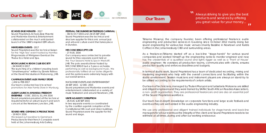#### **ECHOES ZASE MZANTSI** - *2017*

Sound Proprietors, Echoes Zase Mzantsi and Matlombe Events & Entertainment collaborated on the much anticipated launch of the 1960's inspired EZM album.

#### **MINTGREEN EVENTS** - *2017*

Sound Proprietors was the technical liaison for the 'High Tea' event hosted by Nomfiso Mngomezulu of Mintgreen Events at the Thaba Eco Hotel and Spa.

#### **BOOK LAUNCH: BOOK CLUB SOCIETY**

- *04 MARCH 2017*

The launching of a children's reading book "Umakhweyana" written by Zanele Ndlovu at the David Krut studios in Maboneng, JHB.

#### **CAMPAIGN EVENT: ALEX FAMILY STORE**

- *JAN to FEB 2017* Our team conducted back to school promotions for Alex Family Store in Wynburg.

#### **ALBUM LAUNCH: AMANDLA FREEDOM**

**ENSEMBLE** - *5 DEC 2015 & 31 JAN 2016* Sound proprietors provided all the technical requirements for an album launch and lunch concert at the Newtown Junction, JHB.

## **SOUND HIRE: GEMSHACK PRODUCTIONS**

- *19 NOV 2016*

In two separate events co-coordinated by the coalition against corruption at the Constitutional Hill court and Union buildings, Sound Proprietors were the supplier for the sound and stage.

We leased out backline to Gemshack Productions for their french Consulate event held at the Johannesburg Arts Gallery.

### **FESTIVAL: THE DUNDEE BATTLEFIELDS CARNIVAL**

- *30/31 OCT 2015 and 24/25 SEP 2016* Sound Proprietors was the technical and structure supplier for this iconic annual jazz and arts and culture event that takes place in Dundee.

#### **MR CONCIERGE (PTY) LTD**

- *27 AUG 2016*

As a freelancer, Tshiamo started off as a back-line "stage-hands" for various sound companies and worked himself up the engineering ranks to monitor engineer and now has the credentials of a qualified sound and lights rigger as well as a 'Front of House' audio engineer. He oversees all production teams, communicates with clients, ensures production quality and enforces deadlines and budgets.

Our company was contracted to provide sound for this corporate event held at the Four Seasons Hotel & Spa in Westcliff, JHB. The polo awards dinner hosted by MR CONCIERGE had a 5 piece orchestra performing as well as background music. We professionally fulfilled all our duties diligently and the patrons were extremely happy with our overall service.

MATI OMBE EVENTS AND ENTERTAINMENT

26 SEP 2015 - 12 DEC 2015 Sound proprietors and Matlombe events and entertainment collaborated on a variety of music festivals in and around Newtown, JHB.

> We use only professional and diligent trained individuals for stage-hands and back-line managers for all our events as the integrity of the client and Sound Proprietors needs to be withheld at all times, during and after our working endeavour.

### **UNITE AGAINST CORRUPTION**

*- 26 AUG &30 SEP 2015*

Always striving to give you the best products and services by offering you great value for your money...  $\overline{u}$ 

Tshiamo Mosenyi, the company founder, been offering professional freelance audio engineering and production services in Gauteng since October 2012 mainly doing live sound engineering for various live music venues (mainly Bassline in Newtown and Kaldis Coffee) in the Johannesburg CBD and surrounding areas.

 $\boldsymbol{\mathcal{M}}$ 

In terms of studio work, Sound Proprietors has a team of dedicated recording, mixing and mastering engineers who help with the overall connections and facilitating within the studio environment. Session musicians and instrument players are always on stand-by to be utilised according to the requirements of certain artists.

Our team of technicians, managed by Thulani Manyoni and Letsebela Mokoena are skilled and diligent engineers and they were trained by SARA( South African Roadies Association), a non- profit organisation. They are professional freelancers and are also an essential part of the Sound Proprietors workforce.

Our team has in-depth knowledge on corporate functions and large scale festivals and events as they are well versed in the audio engineering industry.

## **Our Team**